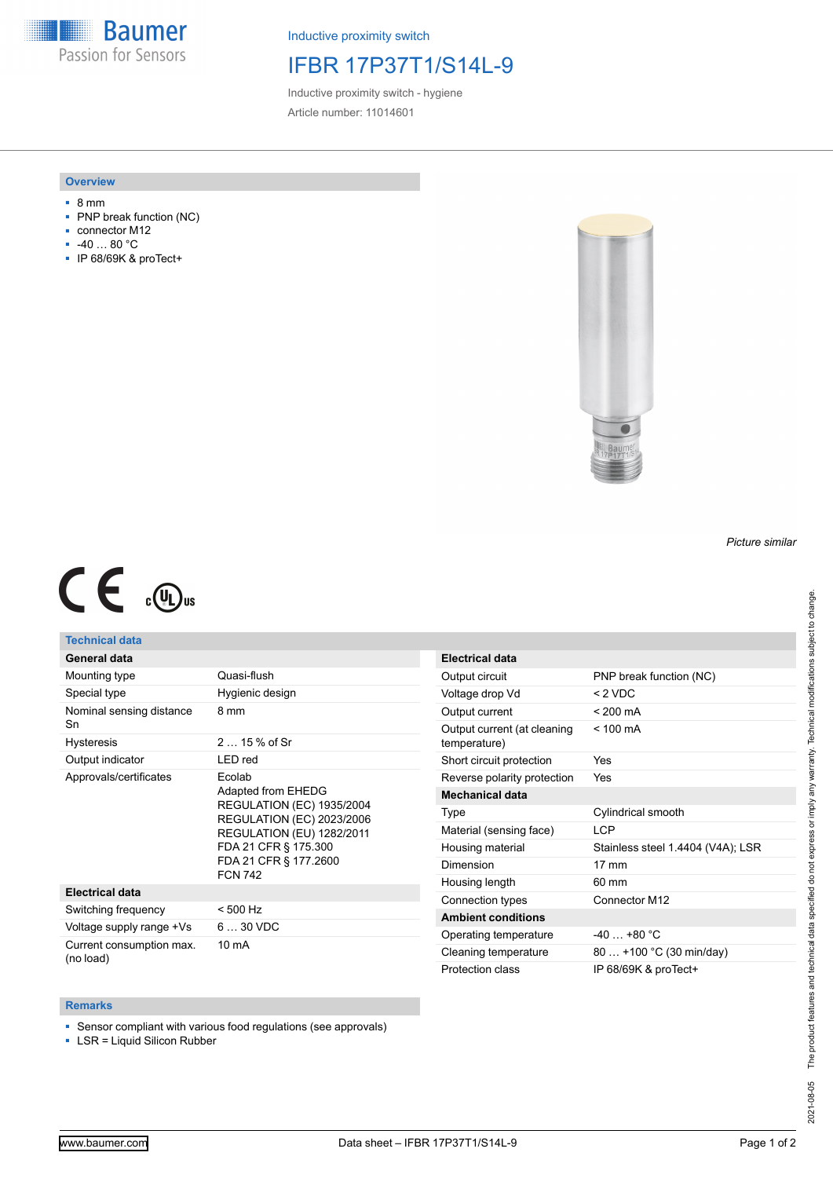**Baumer** Passion for Sensors

Inductive proximity switch

## IFBR 17P37T1/S14L-9

Inductive proximity switch - hygiene Article number: 11014601

### **Overview**

- 8 mm
- PNP break function (NC)
- connector M12
- -40 … 80 °C
- IP 68/69K & proTect+



## *Picture similar*

# $C \in \mathbb{C}$

## **Technical data**

|  |  | General data |  |
|--|--|--------------|--|
|  |  |              |  |

| Mounting type                         | Quasi-flush                                                                                                                                                                                                 |  |
|---------------------------------------|-------------------------------------------------------------------------------------------------------------------------------------------------------------------------------------------------------------|--|
| Special type                          | Hygienic design                                                                                                                                                                                             |  |
| Nominal sensing distance<br>Sn        | 8 mm                                                                                                                                                                                                        |  |
| <b>Hysteresis</b>                     | $215%$ of Sr                                                                                                                                                                                                |  |
| Output indicator                      | LED red                                                                                                                                                                                                     |  |
| Approvals/certificates                | Ecolab<br>Adapted from EHEDG<br><b>REGULATION (EC) 1935/2004</b><br><b>REGULATION (EC) 2023/2006</b><br><b>REGULATION (EU) 1282/2011</b><br>FDA 21 CFR § 175.300<br>FDA 21 CFR § 177.2600<br><b>FCN 742</b> |  |
| <b>Electrical data</b>                |                                                                                                                                                                                                             |  |
| Switching frequency                   | < 500 Hz                                                                                                                                                                                                    |  |
| Voltage supply range +Vs              | $630$ VDC                                                                                                                                                                                                   |  |
| Current consumption max.<br>(no load) | 10 mA                                                                                                                                                                                                       |  |

| <b>Electrical data</b>                      |                                   |
|---------------------------------------------|-----------------------------------|
| Output circuit                              | PNP break function (NC)           |
| Voltage drop Vd                             | < 2 VDC                           |
| Output current                              | $< 200 \text{ mA}$                |
| Output current (at cleaning<br>temperature) | $< 100 \text{ mA}$                |
| Short circuit protection                    | Yes                               |
| Reverse polarity protection                 | Yes                               |
| <b>Mechanical data</b>                      |                                   |
| Type                                        | Cylindrical smooth                |
| Material (sensing face)                     | I CP                              |
| Housing material                            | Stainless steel 1.4404 (V4A); LSR |
| Dimension                                   | $17 \text{ mm}$                   |
| Housing length                              | $60 \text{ mm}$                   |
| Connection types                            | Connector M12                     |
| <b>Ambient conditions</b>                   |                                   |
| Operating temperature                       | $-40+80 °C$                       |
| Cleaning temperature                        | 80  +100 °C (30 min/day)          |
| Protection class                            | IP 68/69K & proTect+              |

#### **Remarks**

■ Sensor compliant with various food regulations (see approvals)

■ LSR = Liquid Silicon Rubber